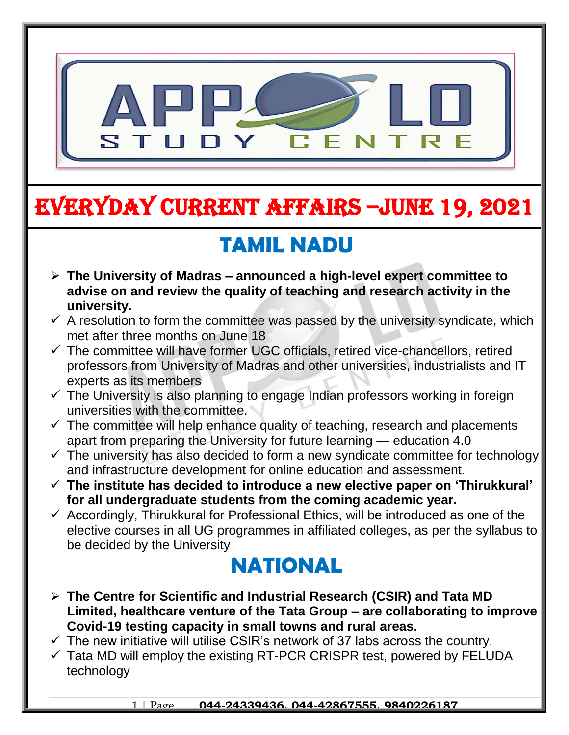

# EVERYDAY CURRENT AFFAIRS –jUNE 19, 2021

-

## **TAMIL NADU**

- **The University of Madras – announced a high-level expert committee to advise on and review the quality of teaching and research activity in the university.**
- $\checkmark$  A resolution to form the committee was passed by the university syndicate, which met after three months on June 18
- $\checkmark$  The committee will have former UGC officials, retired vice-chancellors, retired professors from University of Madras and other universities, industrialists and IT experts as its members
- $\checkmark$  The University is also planning to engage Indian professors working in foreign universities with the committee.
- $\checkmark$  The committee will help enhance quality of teaching, research and placements apart from preparing the University for future learning — education 4.0
- $\checkmark$  The university has also decided to form a new syndicate committee for technology and infrastructure development for online education and assessment.
- **The institute has decided to introduce a new elective paper on 'Thirukkural' for all undergraduate students from the coming academic year.**
- $\checkmark$  Accordingly, Thirukkural for Professional Ethics, will be introduced as one of the elective courses in all UG programmes in affiliated colleges, as per the syllabus to be decided by the University

### **NATIONAL**

- **The Centre for Scientific and Industrial Research (CSIR) and Tata MD Limited, healthcare venture of the Tata Group – are collaborating to improve Covid-19 testing capacity in small towns and rural areas.**
- $\checkmark$  The new initiative will utilise CSIR's network of 37 labs across the country.
- $\checkmark$  Tata MD will employ the existing RT-PCR CRISPR test, powered by FELUDA technology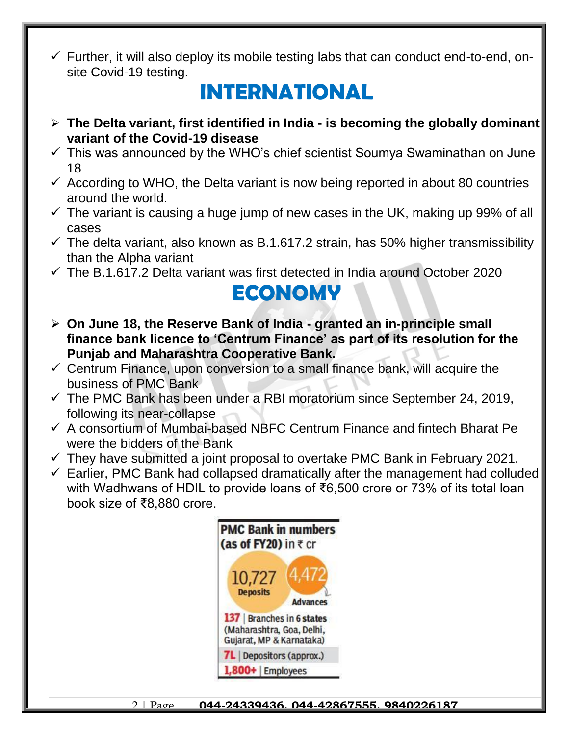$\checkmark$  Further, it will also deploy its mobile testing labs that can conduct end-to-end, onsite Covid-19 testing.

### **INTERNATIONAL**

- **The Delta variant, first identified in India - is becoming the globally dominant variant of the Covid-19 disease**
- $\checkmark$  This was announced by the WHO's chief scientist Soumya Swaminathan on June 18
- $\checkmark$  According to WHO, the Delta variant is now being reported in about 80 countries around the world.
- $\checkmark$  The variant is causing a huge jump of new cases in the UK, making up 99% of all cases
- $\checkmark$  The delta variant, also known as B.1.617.2 strain, has 50% higher transmissibility than the Alpha variant
- $\checkmark$  The B.1.617.2 Delta variant was first detected in India around October 2020

### **ECONOMY**

- **On June 18, the Reserve Bank of India - granted an in-principle small finance bank licence to 'Centrum Finance' as part of its resolution for the Punjab and Maharashtra Cooperative Bank.**
- $\checkmark$  Centrum Finance, upon conversion to a small finance bank, will acquire the business of PMC Bank
- $\checkmark$  The PMC Bank has been under a RBI moratorium since September 24, 2019, following its near-collapse
- $\checkmark$  A consortium of Mumbai-based NBFC Centrum Finance and fintech Bharat Pe were the bidders of the Bank
- $\checkmark$  They have submitted a joint proposal to overtake PMC Bank in February 2021.
- $\checkmark$  Earlier, PMC Bank had collapsed dramatically after the management had colluded with Wadhwans of HDIL to provide loans of ₹6,500 crore or 73% of its total loan book size of ₹8,880 crore.

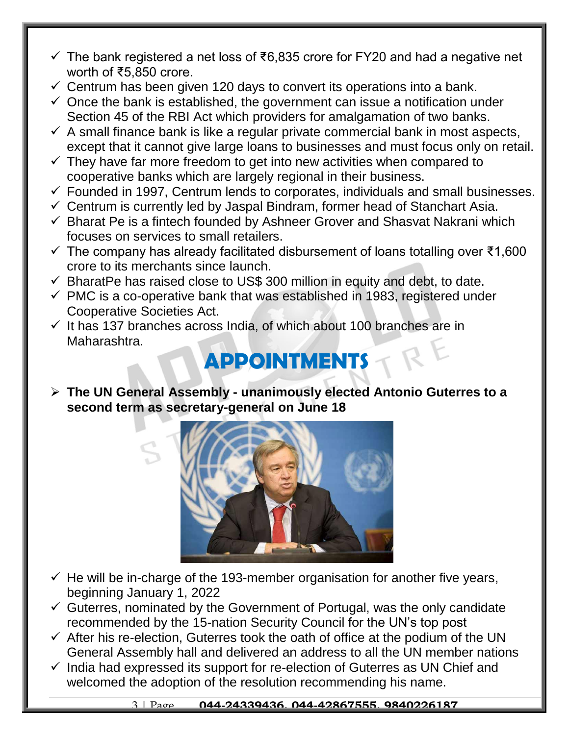- $\checkmark$  The bank registered a net loss of ₹6,835 crore for FY20 and had a negative net worth of ₹5,850 crore.
- $\checkmark$  Centrum has been given 120 days to convert its operations into a bank.
- $\checkmark$  Once the bank is established, the government can issue a notification under Section 45 of the RBI Act which providers for amalgamation of two banks.
- $\checkmark$  A small finance bank is like a regular private commercial bank in most aspects, except that it cannot give large loans to businesses and must focus only on retail.
- $\checkmark$  They have far more freedom to get into new activities when compared to cooperative banks which are largely regional in their business.
- $\checkmark$  Founded in 1997, Centrum lends to corporates, individuals and small businesses.
- $\checkmark$  Centrum is currently led by Jaspal Bindram, former head of Stanchart Asia.
- $\checkmark$  Bharat Pe is a fintech founded by Ashneer Grover and Shasvat Nakrani which focuses on services to small retailers.
- $\checkmark$  The company has already facilitated disbursement of loans totalling over ₹1,600 crore to its merchants since launch.
- $\checkmark$  BharatPe has raised close to US\$ 300 million in equity and debt, to date.
- $\checkmark$  PMC is a co-operative bank that was established in 1983, registered under Cooperative Societies Act.
- $\checkmark$  It has 137 branches across India, of which about 100 branches are in Maharashtra.

# **APPOINTMENTS**

 **The UN General Assembly - unanimously elected Antonio Guterres to a second term as secretary-general on June 18**



- $\checkmark$  He will be in-charge of the 193-member organisation for another five years, beginning January 1, 2022
- $\checkmark$  Guterres, nominated by the Government of Portugal, was the only candidate recommended by the 15-nation Security Council for the UN's top post
- $\checkmark$  After his re-election, Guterres took the oath of office at the podium of the UN General Assembly hall and delivered an address to all the UN member nations
- $\checkmark$  India had expressed its support for re-election of Guterres as UN Chief and welcomed the adoption of the resolution recommending his name.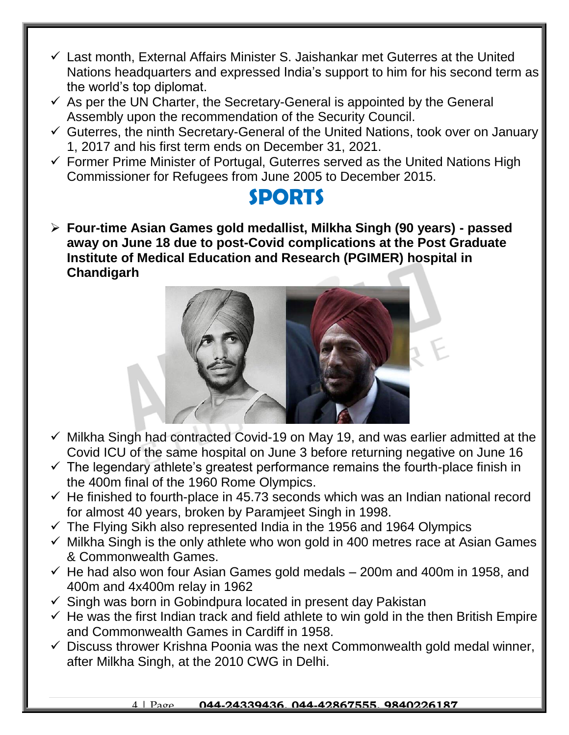- $\checkmark$  Last month. External Affairs Minister S. Jaishankar met Guterres at the United Nations headquarters and expressed India's support to him for his second term as the world's top diplomat.
- $\checkmark$  As per the UN Charter, the Secretary-General is appointed by the General Assembly upon the recommendation of the Security Council.
- $\checkmark$  Guterres, the ninth Secretary-General of the United Nations, took over on January 1, 2017 and his first term ends on December 31, 2021.
- $\checkmark$  Former Prime Minister of Portugal, Guterres served as the United Nations High Commissioner for Refugees from June 2005 to December 2015.

#### **SPORTS**

 **Four-time Asian Games gold medallist, Milkha Singh (90 years) - passed away on June 18 due to post-Covid complications at the Post Graduate Institute of Medical Education and Research (PGIMER) hospital in Chandigarh**



- $\checkmark$  Milkha Singh had contracted Covid-19 on May 19, and was earlier admitted at the Covid ICU of the same hospital on June 3 before returning negative on June 16
- $\checkmark$  The legendary athlete's greatest performance remains the fourth-place finish in the 400m final of the 1960 Rome Olympics.
- $\checkmark$  He finished to fourth-place in 45.73 seconds which was an Indian national record for almost 40 years, broken by Paramjeet Singh in 1998.
- $\checkmark$  The Flying Sikh also represented India in the 1956 and 1964 Olympics
- $\checkmark$  Milkha Singh is the only athlete who won gold in 400 metres race at Asian Games & Commonwealth Games.
- $\checkmark$  He had also won four Asian Games gold medals  $-$  200m and 400m in 1958, and 400m and 4x400m relay in 1962
- $\checkmark$  Singh was born in Gobindpura located in present day Pakistan
- $\checkmark$  He was the first Indian track and field athlete to win gold in the then British Empire and Commonwealth Games in Cardiff in 1958.
- $\checkmark$  Discuss thrower Krishna Poonia was the next Commonwealth gold medal winner, after Milkha Singh, at the 2010 CWG in Delhi.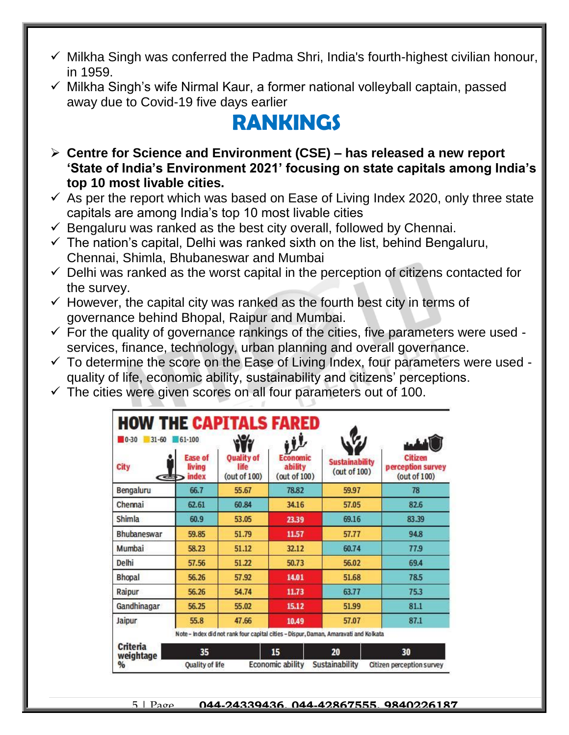- $\checkmark$  Milkha Singh was conferred the Padma Shri, India's fourth-highest civilian honour, in 1959.
- $\checkmark$  Milkha Singh's wife Nirmal Kaur, a former national volleyball captain, passed away due to Covid-19 five days earlier

## **RANKINGS**

- **Centre for Science and Environment (CSE) – has released a new report 'State of India's Environment 2021' focusing on state capitals among India's top 10 most livable cities.**
- $\checkmark$  As per the report which was based on Ease of Living Index 2020, only three state capitals are among India's top 10 most livable cities
- $\checkmark$  Bengaluru was ranked as the best city overall, followed by Chennai.
- $\checkmark$  The nation's capital, Delhi was ranked sixth on the list, behind Bengaluru, Chennai, Shimla, Bhubaneswar and Mumbai
- $\checkmark$  Delhi was ranked as the worst capital in the perception of citizens contacted for the survey.
- $\checkmark$  However, the capital city was ranked as the fourth best city in terms of governance behind Bhopal, Raipur and Mumbai.
- $\checkmark$  For the quality of governance rankings of the cities, five parameters were used services, finance, technology, urban planning and overall governance.
- $\checkmark$  To determine the score on the Ease of Living Index, four parameters were used quality of life, economic ability, sustainability and citizens' perceptions.
- $\checkmark$  The cities were given scores on all four parameters out of 100.

| <b>HOW THE CAPITALS FARED</b><br>$\blacksquare$ 0-30<br>$31 - 60$ | $61 - 100$                        |                                           | بلاه                                       |                                                                                      |                                              |
|-------------------------------------------------------------------|-----------------------------------|-------------------------------------------|--------------------------------------------|--------------------------------------------------------------------------------------|----------------------------------------------|
| <b>City</b><br><b>CEST</b>                                        | <b>Ease of</b><br>living<br>index | <b>Ouality of</b><br>life<br>(out of 100) | <b>Economic</b><br>ability<br>(out of 100) | <b>Sustainability</b><br>(out of 100)                                                | Citizen<br>perception survey<br>(out of 100) |
| Bengaluru                                                         | 66.7                              | 55.67                                     | 78.82                                      | 59.97                                                                                | 78                                           |
| Chennai                                                           | 62.61                             | 60.84                                     | 34.16                                      | 57.05                                                                                | 82.6                                         |
| Shimla                                                            | 60.9                              | 53.05                                     | 23.39                                      | 69.16                                                                                | 83.39                                        |
| <b>Bhubaneswar</b>                                                | 59.85                             | 51.79                                     | 11.57                                      | 57.77                                                                                | 94.8                                         |
| Mumbai                                                            | 58.23                             | 51.12                                     | 32.12                                      | 60.74                                                                                | 77.9                                         |
| Delhi                                                             | 57.56                             | 51.22                                     | 50.73                                      | 56.02                                                                                | 69.4                                         |
| <b>Bhopal</b>                                                     | 56.26                             | 57.92                                     | 14.01                                      | 51.68                                                                                | 78.5                                         |
| Raipur                                                            | 56.26                             | 54.74                                     | 11.73                                      | 63.77                                                                                | 75.3                                         |
| Gandhinagar                                                       | 56.25                             | 55.02                                     | 15.12                                      | 51.99                                                                                | 81.1                                         |
| Jaipur                                                            | 55.8                              | 47.66                                     | 10.49                                      | 57.07                                                                                | 87.1                                         |
|                                                                   |                                   |                                           |                                            | Note - Index did not rank four capital cities - Dispur, Daman, Amaravati and Kolkata |                                              |
| <b>Criteria</b><br>weightage                                      | 35                                |                                           | 15                                         | 20                                                                                   | 30                                           |
| %                                                                 | <b>Quality of life</b>            |                                           | Economic ability                           | Sustainability                                                                       | Citizen perception survey                    |

5 | Page **044-24339436, 044-42867555, 9840226187**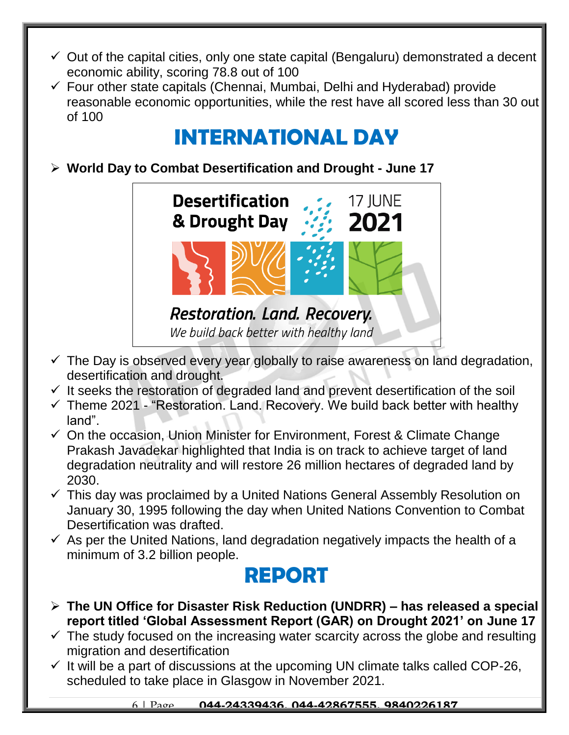- $\checkmark$  Out of the capital cities, only one state capital (Bengaluru) demonstrated a decent economic ability, scoring 78.8 out of 100
- $\checkmark$  Four other state capitals (Chennai, Mumbai, Delhi and Hyderabad) provide reasonable economic opportunities, while the rest have all scored less than 30 out of 100

## **INTERNATIONAL DAY**

**World Day to Combat Desertification and Drought - June 17**



- $\checkmark$  The Day is observed every year globally to raise awareness on land degradation, desertification and drought.
- $\checkmark$  It seeks the restoration of degraded land and prevent desertification of the soil
- $\checkmark$  Theme 2021 "Restoration. Land. Recovery. We build back better with healthy land".
- $\checkmark$  On the occasion, Union Minister for Environment, Forest & Climate Change Prakash Javadekar highlighted that India is on track to achieve target of land degradation neutrality and will restore 26 million hectares of degraded land by 2030.
- $\checkmark$  This day was proclaimed by a United Nations General Assembly Resolution on January 30, 1995 following the day when United Nations Convention to Combat Desertification was drafted.
- $\checkmark$  As per the United Nations, land degradation negatively impacts the health of a minimum of 3.2 billion people.

### **REPORT**

- **The UN Office for Disaster Risk Reduction (UNDRR) – has released a special report titled 'Global Assessment Report (GAR) on Drought 2021' on June 17**
- $\checkmark$  The study focused on the increasing water scarcity across the globe and resulting migration and desertification
- $\checkmark$  It will be a part of discussions at the upcoming UN climate talks called COP-26, scheduled to take place in Glasgow in November 2021.